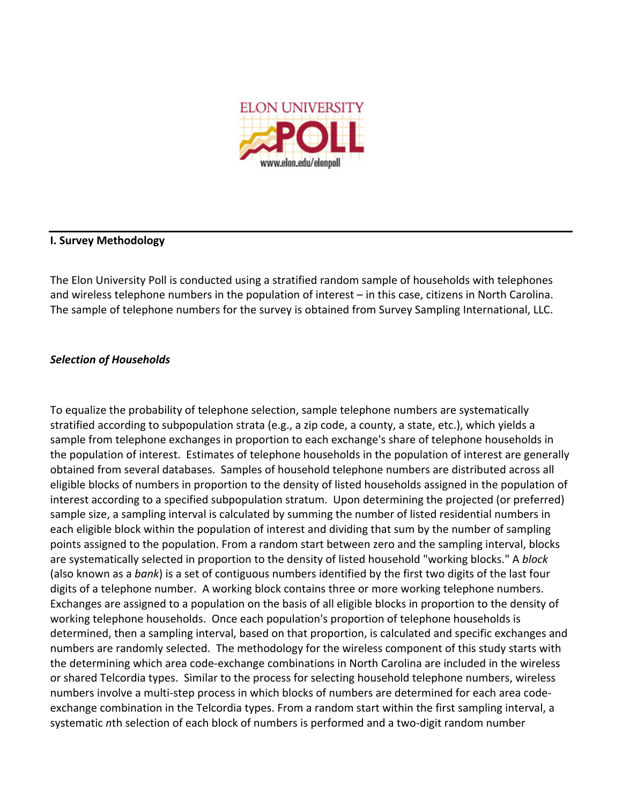

## **I.
Survey
Methodology**

The
Elon
University
Poll
is
conducted
using
a
stratified
random
sample
of
households
with
telephones and wireless telephone numbers in the population of interest – in this case, citizens in North Carolina. The sample of telephone numbers for the survey is obtained from Survey Sampling International, LLC.

# *Selection
of
Households*

To equalize the probability of telephone selection, sample telephone numbers are systematically stratified according to subpopulation strata (e.g., a zip code, a county, a state, etc.), which yields a sample from telephone exchanges in proportion to each exchange's share of telephone households in the
population
of
interest.

Estimates
of
telephone
households
in
the
population
of
interest
are
generally obtained
from
several
databases.

Samples
of
household
telephone
numbers
are
distributed
across
all eligible blocks of numbers in proportion to the density of listed households assigned in the population of interest according to a specified subpopulation stratum. Upon determining the projected (or preferred) sample size, a sampling interval is calculated by summing the number of listed residential numbers in each eligible block within the population of interest and dividing that sum by the number of sampling points assigned to the population. From a random start between zero and the sampling interval, blocks are
systematically
selected
in
proportion
to
the
density
of
listed
household "working
blocks."
A *block* (also known as a bank) is a set of contiguous numbers identified by the first two digits of the last four digits of a telephone number. A working block contains three or more working telephone numbers. Exchanges are assigned to a population on the basis of all eligible blocks in proportion to the density of working telephone households. Once each population's proportion of telephone households is determined, then a sampling interval, based on that proportion, is calculated and specific exchanges and numbers are randomly selected. The methodology for the wireless component of this study starts with the determining which area code-exchange combinations in North Carolina are included in the wireless or
shared
Telcordia
types. Similar
to
the
process
for
selecting
household
telephone
numbers,
wireless numbers involve a multi-step process in which blocks of numbers are determined for each area codeexchange combination in the Telcordia types. From a random start within the first sampling interval, a systematic nth selection of each block of numbers is performed and a two-digit random number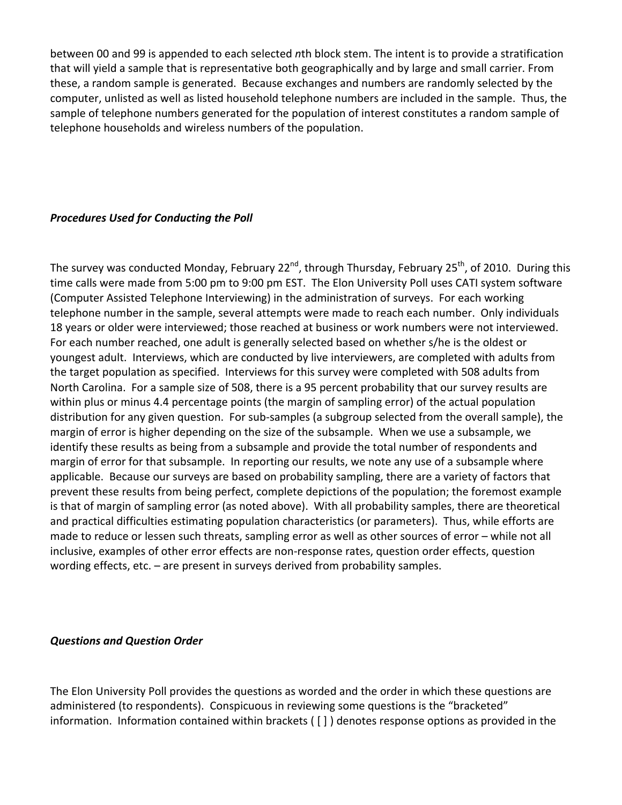between 00 and 99 is appended to each selected *n*th block stem. The intent is to provide a stratification that will yield a sample that is representative both geographically and by large and small carrier. From these, a random sample is generated. Because exchanges and numbers are randomly selected by the computer, unlisted as well as listed household telephone numbers are included in the sample. Thus, the sample of telephone numbers generated for the population of interest constitutes a random sample of telephone
households
and
wireless
numbers
of
the
population.

# *Procedures
Used
for
Conducting
the
Poll*

The survey was conducted Monday, February 22<sup>nd</sup>, through Thursday, February 25<sup>th</sup>, of 2010. During this time calls were made from 5:00 pm to 9:00 pm EST. The Elon University Poll uses CATI system software (Computer
Assisted
Telephone
Interviewing)
in
the
administration
of
surveys.

For
each
working telephone number in the sample, several attempts were made to reach each number. Only individuals 18
years
or
older
were
interviewed;
those
reached
at
business
or
work
numbers
were
not
interviewed. For each number reached, one adult is generally selected based on whether s/he is the oldest or youngest adult. Interviews, which are conducted by live interviewers, are completed with adults from the target population as specified. Interviews for this survey were completed with 508 adults from North Carolina. For a sample size of 508, there is a 95 percent probability that our survey results are within plus or minus 4.4 percentage points (the margin of sampling error) of the actual population distribution for any given question. For sub-samples (a subgroup selected from the overall sample), the margin of error is higher depending on the size of the subsample. When we use a subsample, we identify these results as being from a subsample and provide the total number of respondents and margin of error for that subsample. In reporting our results, we note any use of a subsample where applicable. Because our surveys are based on probability sampling, there are a variety of factors that prevent these results from being perfect, complete depictions of the population; the foremost example is that of margin of sampling error (as noted above). With all probability samples, there are theoretical and
practical
difficulties
estimating
population
characteristics
(or
parameters).

Thus,
while
efforts
are made to reduce or lessen such threats, sampling error as well as other sources of error - while not all inclusive, examples of other error effects are non-response rates, question order effects, question wording
effects,
etc.
–
are
present
in
surveys
derived
from
probability
samples.

## *Questions
and
Question
Order*

The Elon University Poll provides the questions as worded and the order in which these questions are administered (to respondents). Conspicuous in reviewing some questions is the "bracketed" information. Information contained within brackets ([]) denotes response options as provided in the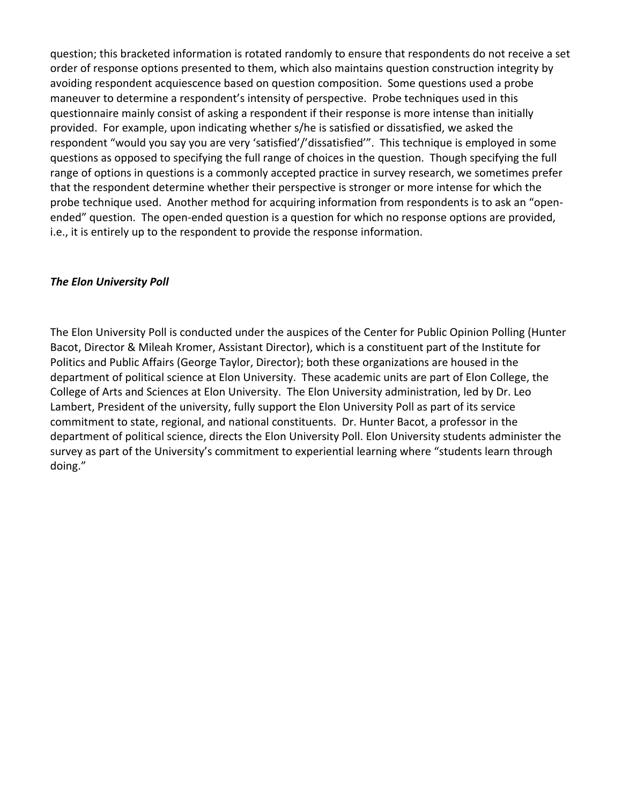question;
this
bracketed
information
is
rotated
randomly
to
ensure
that
respondents
do
not
receive
a
set order of response options presented to them, which also maintains question construction integrity by avoiding respondent acquiescence based on question composition. Some questions used a probe maneuver to determine a respondent's intensity of perspective. Probe techniques used in this guestionnaire mainly consist of asking a respondent if their response is more intense than initially provided. For example, upon indicating whether s/he is satisfied or dissatisfied, we asked the respondent "would you say you are very 'satisfied'/'dissatisfied'". This technique is employed in some questions as opposed to specifying the full range of choices in the question. Though specifying the full range of options in questions is a commonly accepted practice in survey research, we sometimes prefer that the respondent determine whether their perspective is stronger or more intense for which the probe technique used. Another method for acquiring information from respondents is to ask an "openended" question. The open-ended question is a question for which no response options are provided, i.e., it is entirely up to the respondent to provide the response information.

## *The
Elon
University
Poll*

The Elon University Poll is conducted under the auspices of the Center for Public Opinion Polling (Hunter Bacot, Director & Mileah Kromer, Assistant Director), which is a constituent part of the Institute for Politics and Public Affairs (George Taylor, Director); both these organizations are housed in the department of political science at Elon University. These academic units are part of Elon College, the College of Arts and Sciences at Elon University. The Elon University administration, led by Dr. Leo Lambert, President of the university, fully support the Elon University Poll as part of its service commitment to state, regional, and national constituents. Dr. Hunter Bacot, a professor in the department of political science, directs the Elon University Poll. Elon University students administer the survey as part of the University's commitment to experiential learning where "students learn through doing."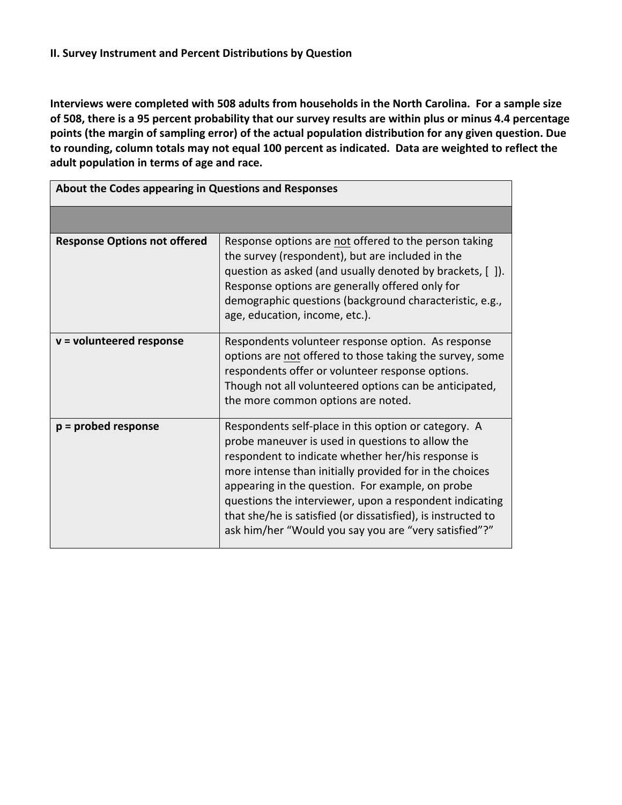Interviews were completed with 508 adults from households in the North Carolina. For a sample size of 508, there is a 95 percent probability that our survey results are within plus or minus 4.4 percentage points (the margin of sampling error) of the actual population distribution for any given question. Due to rounding, column totals may not equal 100 percent as indicated. Data are weighted to reflect the adult population in terms of age and race.

| About the Codes appearing in Questions and Responses |                                                                                                                                                                                                                                                                                                                                                                                                                                                                   |
|------------------------------------------------------|-------------------------------------------------------------------------------------------------------------------------------------------------------------------------------------------------------------------------------------------------------------------------------------------------------------------------------------------------------------------------------------------------------------------------------------------------------------------|
|                                                      |                                                                                                                                                                                                                                                                                                                                                                                                                                                                   |
| <b>Response Options not offered</b>                  | Response options are not offered to the person taking<br>the survey (respondent), but are included in the<br>question as asked (and usually denoted by brackets, []).<br>Response options are generally offered only for<br>demographic questions (background characteristic, e.g.,<br>age, education, income, etc.).                                                                                                                                             |
| $v =$ volunteered response                           | Respondents volunteer response option. As response<br>options are not offered to those taking the survey, some<br>respondents offer or volunteer response options.<br>Though not all volunteered options can be anticipated,<br>the more common options are noted.                                                                                                                                                                                                |
| $p =$ probed response                                | Respondents self-place in this option or category. A<br>probe maneuver is used in questions to allow the<br>respondent to indicate whether her/his response is<br>more intense than initially provided for in the choices<br>appearing in the question. For example, on probe<br>questions the interviewer, upon a respondent indicating<br>that she/he is satisfied (or dissatisfied), is instructed to<br>ask him/her "Would you say you are "very satisfied"?" |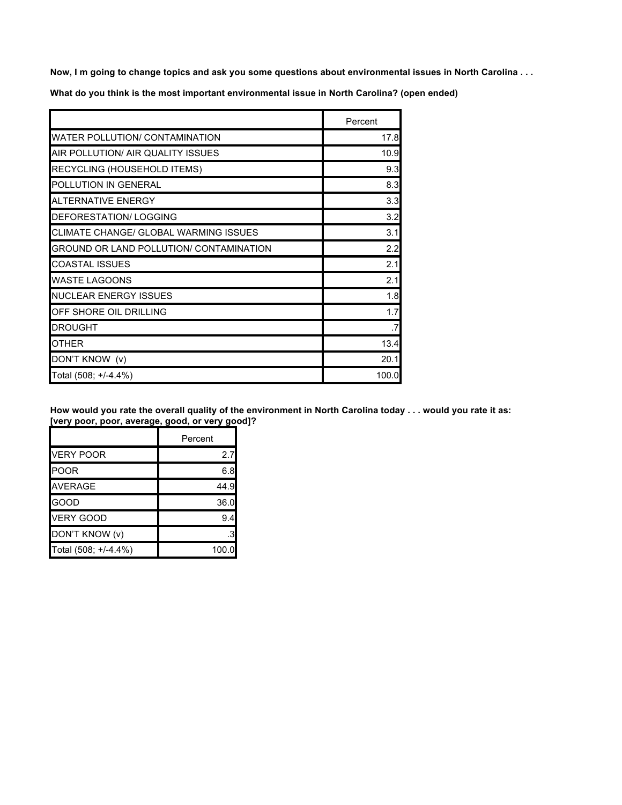Now, I m going to change topics and ask you some questions about environmental issues in North Carolina . . .

**What do you think is the most important environmental issue in North Carolina? (open ended)**

|                                         | Percent |
|-----------------------------------------|---------|
| WATER POLLUTION/ CONTAMINATION          | 17.8    |
| AIR POLLUTION/ AIR QUALITY ISSUES       | 10.9    |
| RECYCLING (HOUSEHOLD ITEMS)             | 9.3     |
| POLLUTION IN GENERAL                    | 8.3     |
| <b>ALTERNATIVE ENERGY</b>               | 3.3     |
| DEFORESTATION/LOGGING                   | 3.2     |
| CLIMATE CHANGE/ GLOBAL WARMING ISSUES   | 3.1     |
| GROUND OR LAND POLLUTION/ CONTAMINATION | 2.2     |
| COASTAL ISSUES                          | 2.1     |
| WASTE LAGOONS                           | 2.1     |
| <b>NUCLEAR ENERGY ISSUES</b>            | 1.8     |
| OFF SHORE OIL DRILLING                  | 1.7     |
| DROUGHT                                 | .7      |
| OTHER                                   | 13.4    |
| DON'T KNOW (v)                          | 20.1    |
| Total (508; +/-4.4%)                    | 100.0   |

How would you rate the overall quality of the environment in North Carolina today . . . would you rate it as: **[very poor, poor, average, good, or very good]?**

|                      | Percent |
|----------------------|---------|
| <b>VERY POOR</b>     | 2.7     |
| <b>POOR</b>          | 6.8     |
| <b>AVERAGE</b>       | 44.9    |
| GOOD                 | 36.0    |
| <b>VERY GOOD</b>     | 9.4     |
| DON'T KNOW (v)       |         |
| Total (508; +/-4.4%) | 100.0   |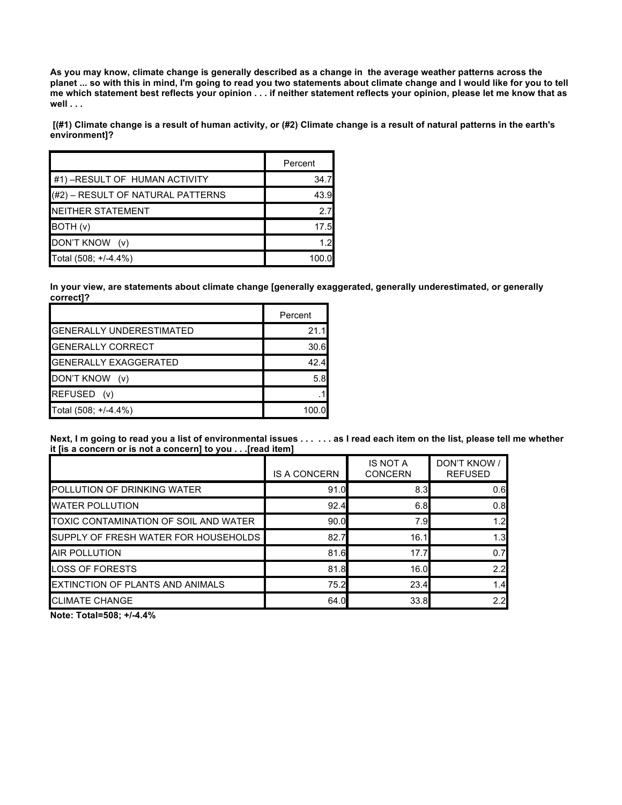As you may know, climate change is generally described as a change in the average weather patterns across the planet ... so with this in mind, I'm going to read you two statements about climate change and I would like for you to tell me which statement best reflects your opinion . . . if neither statement reflects your opinion, please let me know that as **well . . .**

[(#1) Climate change is a result of human activity, or (#2) Climate change is a result of natural patterns in the earth's **environment]?**

|                                   | Percent |
|-----------------------------------|---------|
| #1) - RESULT OF HUMAN ACTIVITY    | 34.7    |
| (#2) – RESULT OF NATURAL PATTERNS | 43.9    |
| <b>NEITHER STATEMENT</b>          | 27      |
| BOTH (v)                          | 17.5    |
| DON'T KNOW (v)                    | 1.2     |
| Total (508; +/-4.4%)              | 100.0   |

**In your view, are statements about climate change [generally exaggerated, generally underestimated, or generally correct]?**

|                                 | Percent |
|---------------------------------|---------|
| <b>GENERALLY UNDERESTIMATED</b> | 21.1    |
| <b>GENERALLY CORRECT</b>        | 30.6    |
| <b>GENERALLY EXAGGERATED</b>    | 42.4    |
| DON'T KNOW<br>(v)               | 5.8     |
| REFUSED (v)                     |         |
| Total (508; +/-4.4%)            | 100.0   |

Next, I m going to read you a list of environmental issues . . . . . . as I read each item on the list, please tell me whether **it [is a concern or is not a concern] to you . . .[read item]**

|                                              | <b>IS A CONCERN</b> | <b>IS NOT A</b><br><b>CONCERN</b> | DON'T KNOW /<br><b>REFUSED</b> |
|----------------------------------------------|---------------------|-----------------------------------|--------------------------------|
| <b>POLLUTION OF DRINKING WATER</b>           | 91.0                | 8.3                               | 0.6                            |
| <b>WATER POLLUTION</b>                       | 92.4                | 6.8                               | 0.8                            |
| <b>TOXIC CONTAMINATION OF SOIL AND WATER</b> | 90.0                | 7.9                               | 1.2                            |
| SUPPLY OF FRESH WATER FOR HOUSEHOLDS         | 82.7                | 16.1                              | 1.3                            |
| <b>AIR POLLUTION</b>                         | 81.6                | 17.7                              | 0.7                            |
| <b>LOSS OF FORESTS</b>                       | 81.8                | 16.0                              | 2.2                            |
| EXTINCTION OF PLANTS AND ANIMALS             | 75.2                | 23.4                              | 1.4                            |
| <b>CLIMATE CHANGE</b>                        | 64.0                | 33.8                              | 2.2                            |

**Note: Total=508; +/-4.4%**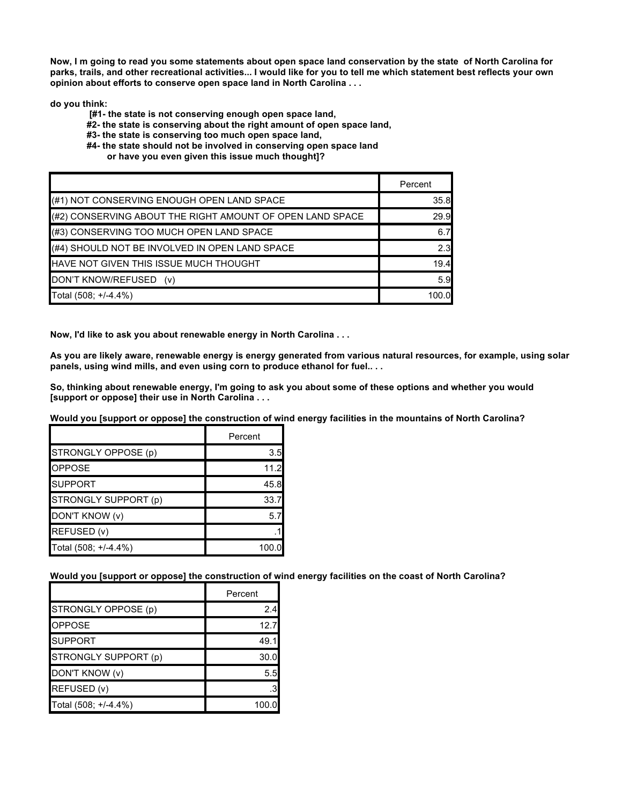Now, I m going to read you some statements about open space land conservation by the state of North Carolina for parks, trails, and other recreational activities... I would like for you to tell me which statement best reflects your own **opinion about efforts to conserve open space land in North Carolina . . .**

**do you think:**

- **[#1- the state is not conserving enough open space land,**
- **#2- the state is conserving about the right amount of open space land,**
- **#3- the state is conserving too much open space land,**
- **#4- the state should not be involved in conserving open space land**
	- **or have you even given this issue much thought]?**

|                                                           | Percent |
|-----------------------------------------------------------|---------|
| (#1) NOT CONSERVING ENOUGH OPEN LAND SPACE                | 35.8    |
| (#2) CONSERVING ABOUT THE RIGHT AMOUNT OF OPEN LAND SPACE | 29.9    |
| (#3) CONSERVING TOO MUCH OPEN LAND SPACE                  | 6.7     |
| (#4) SHOULD NOT BE INVOLVED IN OPEN LAND SPACE            | 2.3     |
| HAVE NOT GIVEN THIS ISSUE MUCH THOUGHT                    | 19.4    |
| DON'T KNOW/REFUSED<br>(V)                                 | 5.9     |
| Total (508; +/-4.4%)                                      | 100.0   |

**Now, I'd like to ask you about renewable energy in North Carolina . . .**

As you are likely aware, renewable energy is energy generated from various natural resources, for example, using solar **panels, using wind mills, and even using corn to produce ethanol for fuel.. . .**

So, thinking about renewable energy, I'm going to ask you about some of these options and whether you would **[support or oppose] their use in North Carolina . . .**

Would you [support or oppose] the construction of wind energy facilities in the mountains of North Carolina?

|                      | Percent |
|----------------------|---------|
| STRONGLY OPPOSE (p)  | 3.5     |
| <b>OPPOSE</b>        | 11.2    |
| <b>SUPPORT</b>       | 45.8    |
| STRONGLY SUPPORT (p) | 33.7    |
| DON'T KNOW (v)       | 57      |
| REFUSED (v)          |         |
| Total (508; +/-4.4%) | 100.0   |

**Would you [support or oppose] the construction of wind energy facilities on the coast of North Carolina?**

|                      | Percent |
|----------------------|---------|
| STRONGLY OPPOSE (p)  | 2.4     |
| <b>OPPOSE</b>        | 12.7    |
| <b>SUPPORT</b>       | 49.1    |
| STRONGLY SUPPORT (p) | 30.0    |
| DON'T KNOW (v)       | 5.5     |
| REFUSED (v)          |         |
| Total (508; +/-4.4%) | 100.0   |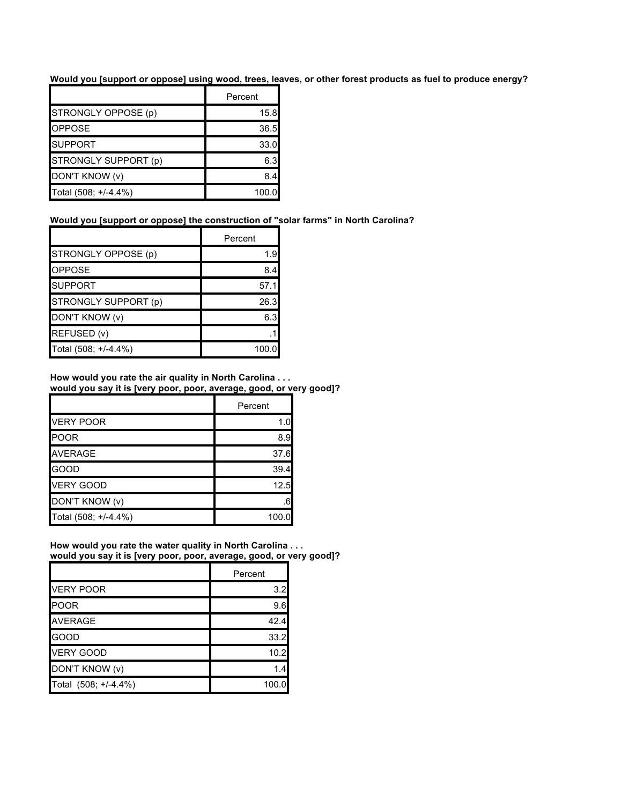Would you [support or oppose] using wood, trees, leaves, or other forest products as fuel to produce energy?

|                      | Percent |
|----------------------|---------|
| STRONGLY OPPOSE (p)  | 15.8    |
| <b>OPPOSE</b>        | 36.5    |
| <b>SUPPORT</b>       | 33.0    |
| STRONGLY SUPPORT (p) | 6.3     |
| DON'T KNOW (v)       | 8.4     |
| Total (508; +/-4.4%) | 100.0   |

#### **Would you [support or oppose] the construction of "solar farms" in North Carolina?**

|                      | Percent |
|----------------------|---------|
| STRONGLY OPPOSE (p)  | 1.9     |
| <b>OPPOSE</b>        | 8.4     |
| <b>SUPPORT</b>       | 57.1    |
| STRONGLY SUPPORT (p) | 26.3    |
| DON'T KNOW (v)       | 6.3     |
| REFUSED (v)          |         |
| Total (508; +/-4.4%) | 100.0   |

#### **How would you rate the air quality in North Carolina . . . would you say it is [very poor, poor, average, good, or very good]?**

|                      | Percent |
|----------------------|---------|
| <b>VERY POOR</b>     | 1.0     |
| <b>POOR</b>          | 8.9     |
| <b>AVERAGE</b>       | 37.6    |
| GOOD                 | 39.4    |
| <b>VERY GOOD</b>     | 12.5    |
| DON'T KNOW (v)       | .6      |
| Total (508; +/-4.4%) | 100.0   |

#### **How would you rate the water quality in North Carolina . . . would you say it is [very poor, poor, average, good, or very good]?**

|                      | Percent |
|----------------------|---------|
| <b>VERY POOR</b>     | 3.2     |
| <b>POOR</b>          | 9.6     |
| <b>AVERAGE</b>       | 42.4    |
| <b>GOOD</b>          | 33.2    |
| <b>VERY GOOD</b>     | 10.2    |
| DON'T KNOW (v)       | 1.4     |
| Total (508; +/-4.4%) | 100.0   |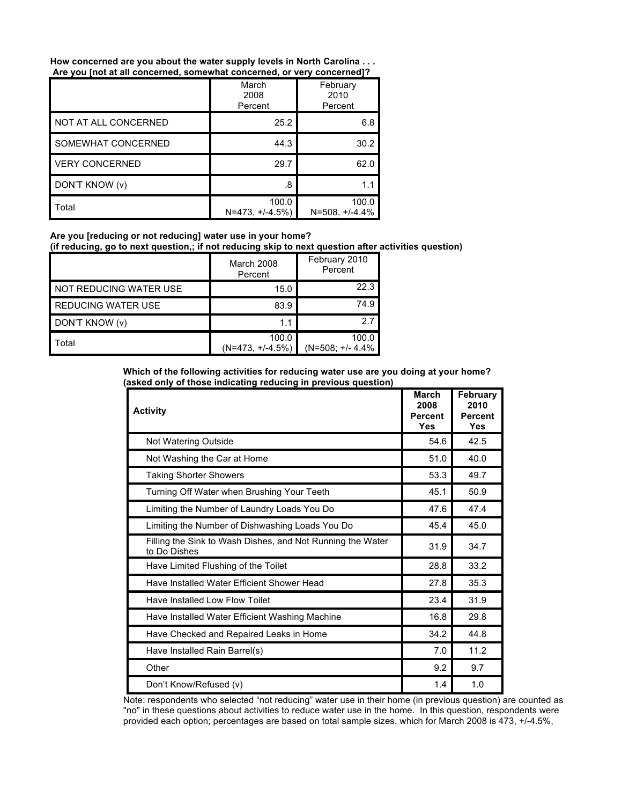**How concerned are you about the water supply levels in North Carolina . . . Are you [not at all concerned, somewhat concerned, or very concerned]?**

|                       | March<br>2008<br>Percent    | February<br>2010<br>Percent |
|-----------------------|-----------------------------|-----------------------------|
| NOT AT ALL CONCERNED  | 25.2                        | 6.8                         |
| SOMEWHAT CONCERNED    | 44.3                        | 30.2                        |
| <b>VERY CONCERNED</b> | 29.7                        | 62.0                        |
| DON'T KNOW (v)        | .8                          | 1.1                         |
| Total                 | 100.0<br>$N=473, +/-4.5\%)$ | 100.0<br>$N = 508, +1.4.4%$ |

**Are you [reducing or not reducing] water use in your home?**

**(if reducing, go to next question,; if not reducing skip to next question after activities question)**

|                        | March 2008<br>Percent       | February 2010<br>Percent    |
|------------------------|-----------------------------|-----------------------------|
| NOT REDUCING WATER USE | 15.0                        | 22.3                        |
| REDUCING WATER USE     | 83.9                        | 74.9                        |
| DON'T KNOW (v)         | 1.1                         | 27                          |
| Total                  | 100.0<br>$(N=473, +/-4.5%)$ | 100.0<br>$(N=508; +/- 4.4%$ |

**Which of the following activities for reducing water use are you doing at your home? (asked only of those indicating reducing in previous question)**

| <b>Activity</b>                                                            | <b>March</b><br>2008<br><b>Percent</b><br>Yes | February<br>2010<br>Percent<br>Yes |
|----------------------------------------------------------------------------|-----------------------------------------------|------------------------------------|
| Not Watering Outside                                                       | 54.6                                          | 42.5                               |
| Not Washing the Car at Home                                                | 51.0                                          | 40.0                               |
| <b>Taking Shorter Showers</b>                                              | 53.3                                          | 49.7                               |
| Turning Off Water when Brushing Your Teeth                                 | 45.1                                          | 50.9                               |
| Limiting the Number of Laundry Loads You Do                                | 47.6                                          | 47.4                               |
| Limiting the Number of Dishwashing Loads You Do                            | 45.4                                          | 45.0                               |
| Filling the Sink to Wash Dishes, and Not Running the Water<br>to Do Dishes | 31.9                                          | 34.7                               |
| Have Limited Flushing of the Toilet                                        | 28.8                                          | 33.2                               |
| Have Installed Water Efficient Shower Head                                 | 27.8                                          | 35.3                               |
| Have Installed Low Flow Toilet                                             | 23.4                                          | 31.9                               |
| Have Installed Water Efficient Washing Machine                             | 16.8                                          | 29.8                               |
| Have Checked and Repaired Leaks in Home                                    | 34.2                                          | 44.8                               |
| Have Installed Rain Barrel(s)                                              | 7.0                                           | 11.2                               |
| Other                                                                      | 9.2                                           | 9.7                                |
| Don't Know/Refused (v)                                                     | 1.4                                           | 1.0                                |

Note: respondents who selected "not reducing" water use in their home (in previous question) are counted as "no" in these questions about activities to reduce water use in the home. In this question, respondents were provided each option; percentages are based on total sample sizes, which for March 2008 is 473, +/-4.5%,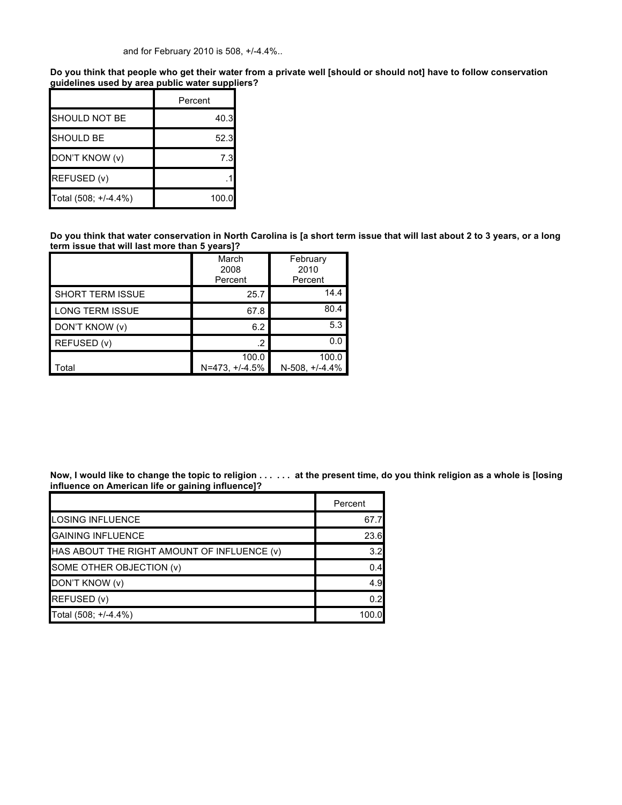and for February 2010 is 508, +/-4.4%..

Do you think that people who get their water from a private well [should or should not] have to follow conservation **guidelines used by area public water suppliers?**

|                      | Percent |
|----------------------|---------|
| SHOULD NOT BE        | 40.3    |
| <b>SHOULD BE</b>     | 52.3    |
| DON'T KNOW (v)       | 7.3     |
| REFUSED (v)          |         |
| Total (508; +/-4.4%) | 100.0   |

Do you think that water conservation in North Carolina is [a short term issue that will last about 2 to 3 years, or a long **term issue that will last more than 5 years]?**

|                         | March<br>2008<br>Percent  | February<br>2010<br>Percent |
|-------------------------|---------------------------|-----------------------------|
| <b>SHORT TERM ISSUE</b> | 25.7                      | 14.4                        |
| <b>LONG TERM ISSUE</b>  | 67.8                      | 80.4                        |
| DON'T KNOW (v)          | 6.2                       | 5.3                         |
| REFUSED (v)             | $\cdot$                   | 0.0                         |
| Total                   | 100.0<br>$N=473. + 4.5\%$ | 100.0<br>N-508, +/-4.4%     |

Now, I would like to change the topic to religion . . . . . . at the present time, do you think religion as a whole is [losing **influence on American life or gaining influence]?**

|                                             | Percent |
|---------------------------------------------|---------|
| <b>LOSING INFLUENCE</b>                     | 67.7    |
| <b>GAINING INFLUENCE</b>                    | 23.6    |
| HAS ABOUT THE RIGHT AMOUNT OF INFLUENCE (v) | 3.2     |
| SOME OTHER OBJECTION (v)                    | 0.4     |
| DON'T KNOW (v)                              | 4.9     |
| REFUSED (v)                                 | 0.2     |
| Total (508; +/-4.4%)                        | 100.0   |